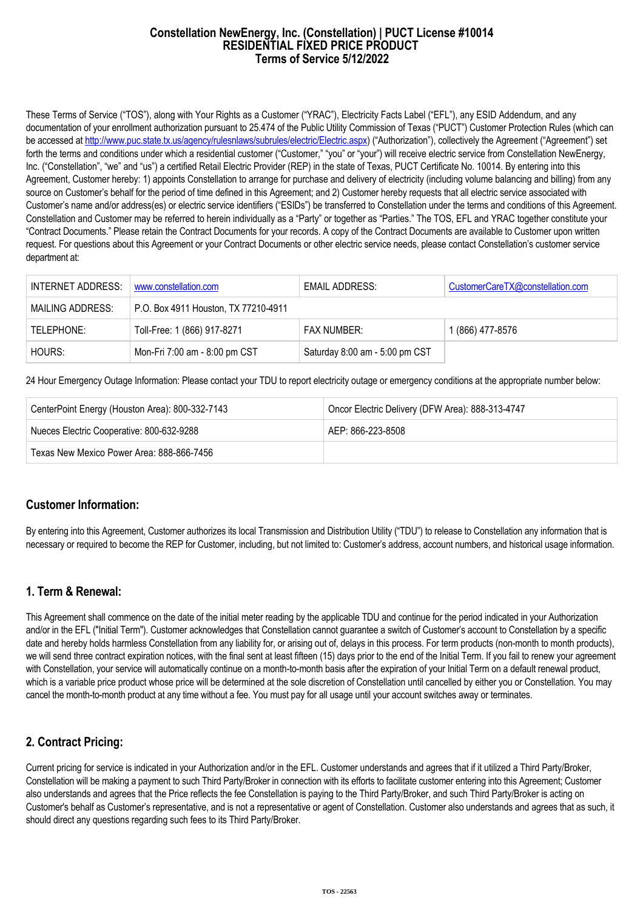#### **Constellation NewEnergy, Inc. (Constellation) | PUCT License #10014 RESIDENTIAL FIXED PRICE PRODUCT Terms of Service 5/12/2022**

These Terms of Service ("TOS"), along with Your Rights as a Customer ("YRAC"), Electricity Facts Label ("EFL"), any ESID Addendum, and any documentation of your enrollment authorization pursuant to 25.474 of the Public Utility Commission of Texas ("PUCT") Customer Protection Rules (which can be accessed at [http://www.puc.state.tx.us/agency/rulesnlaws/subrules/electric/Electric.aspx\)](http://www.puc.state.tx.us/agency/rulesnlaws/subrules/electric/Electric.aspx) ("Authorization"), collectively the Agreement ("Agreement") set forth the terms and conditions under which a residential customer ("Customer," "you" or "your") will receive electric service from Constellation NewEnergy, Inc. ("Constellation", "we" and "us") a certified Retail Electric Provider (REP) in the state of Texas, PUCT Certificate No. 10014. By entering into this Agreement, Customer hereby: 1) appoints Constellation to arrange for purchase and delivery of electricity (including volume balancing and billing) from any source on Customer's behalf for the period of time defined in this Agreement; and 2) Customer hereby requests that all electric service associated with Customer's name and/or address(es) or electric service identifiers ("ESIDs") be transferred to Constellation under the terms and conditions of this Agreement. Constellation and Customer may be referred to herein individually as a "Party" or together as "Parties." The TOS, EFL and YRAC together constitute your "Contract Documents." Please retain the Contract Documents for your records. A copy of the Contract Documents are available to Customer upon written request. For questions about this Agreement or your Contract Documents or other electric service needs, please contact Constellation's customer service department at:

| INTERNET ADDRESS: | www.constellation.com                | <b>EMAIL ADDRESS:</b>          | CustomerCareTX@constellation.com |
|-------------------|--------------------------------------|--------------------------------|----------------------------------|
| MAILING ADDRESS:  | P.O. Box 4911 Houston, TX 77210-4911 |                                |                                  |
| TELEPHONE:        | Toll-Free: 1 (866) 917-8271          | <b>FAX NUMBER:</b>             | 1 (866) 477-8576                 |
| HOURS:            | Mon-Fri 7:00 am - 8:00 pm CST        | Saturday 8:00 am - 5:00 pm CST |                                  |

24 Hour Emergency Outage Information: Please contact your TDU to report electricity outage or emergency conditions at the appropriate number below:

| CenterPoint Energy (Houston Area): 800-332-7143 | Oncor Electric Delivery (DFW Area): 888-313-4747 |  |
|-------------------------------------------------|--------------------------------------------------|--|
| Nueces Electric Cooperative: 800-632-9288       | AFP: 866-223-8508                                |  |
| Texas New Mexico Power Area: 888-866-7456       |                                                  |  |

### **Customer Information:**

By entering into this Agreement, Customer authorizes its local Transmission and Distribution Utility ("TDU") to release to Constellation any information that is necessary or required to become the REP for Customer, including, but not limited to: Customer's address, account numbers, and historical usage information.

### **1. Term & Renewal:**

This Agreement shall commence on the date of the initial meter reading by the applicable TDU and continue for the period indicated in your Authorization and/or in the EFL ("Initial Term"). Customer acknowledges that Constellation cannot guarantee a switch of Customer's account to Constellation by a specific date and hereby holds harmless Constellation from any liability for, or arising out of, delays in this process. For term products (non-month to month products), we will send three contract expiration notices, with the final sent at least fifteen (15) days prior to the end of the Initial Term. If you fail to renew your agreement with Constellation, your service will automatically continue on a month-to-month basis after the expiration of your Initial Term on a default renewal product, which is a variable price product whose price will be determined at the sole discretion of Constellation until cancelled by either you or Constellation. You may cancel the month-to-month product at any time without a fee. You must pay for all usage until your account switches away or terminates.

# **2. Contract Pricing:**

Current pricing for service is indicated in your Authorization and/or in the EFL. Customer understands and agrees that if it utilized a Third Party/Broker, Constellation will be making a payment to such Third Party/Broker in connection with its efforts to facilitate customer entering into this Agreement; Customer also understands and agrees that the Price reflects the fee Constellation is paying to the Third Party/Broker, and such Third Party/Broker is acting on Customer's behalf as Customer's representative, and is not a representative or agent of Constellation. Customer also understands and agrees that as such, it should direct any questions regarding such fees to its Third Party/Broker.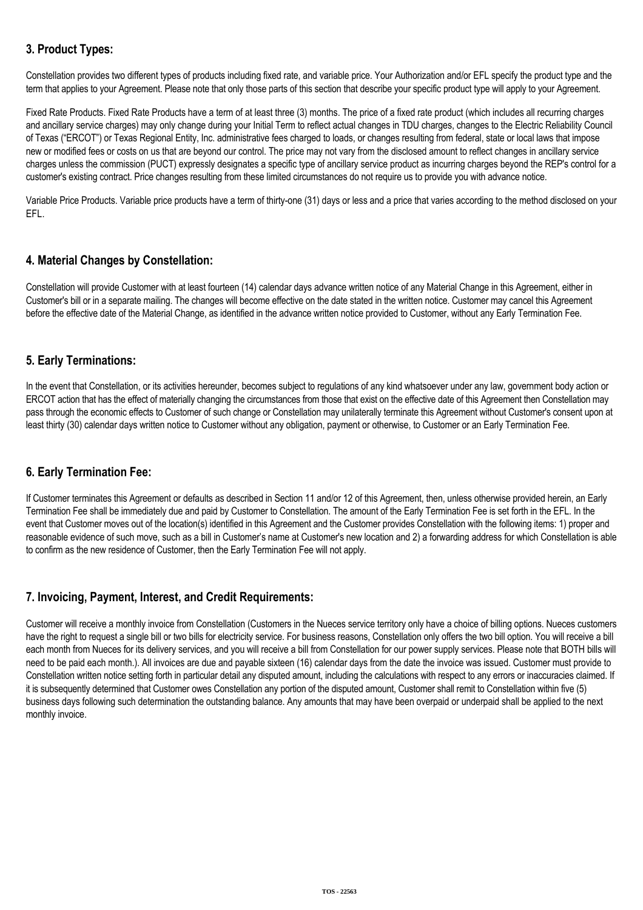# **3. Product Types:**

Constellation provides two different types of products including fixed rate, and variable price. Your Authorization and/or EFL specify the product type and the term that applies to your Agreement. Please note that only those parts of this section that describe your specific product type will apply to your Agreement.

Fixed Rate Products. Fixed Rate Products have a term of at least three (3) months. The price of a fixed rate product (which includes all recurring charges and ancillary service charges) may only change during your Initial Term to reflect actual changes in TDU charges, changes to the Electric Reliability Council of Texas ("ERCOT") or Texas Regional Entity, Inc. administrative fees charged to loads, or changes resulting from federal, state or local laws that impose new or modified fees or costs on us that are beyond our control. The price may not vary from the disclosed amount to reflect changes in ancillary service charges unless the commission (PUCT) expressly designates a specific type of ancillary service product as incurring charges beyond the REP's control for a customer's existing contract. Price changes resulting from these limited circumstances do not require us to provide you with advance notice.

Variable Price Products. Variable price products have a term of thirty-one (31) days or less and a price that varies according to the method disclosed on your EFL.

# **4. Material Changes by Constellation:**

Constellation will provide Customer with at least fourteen (14) calendar days advance written notice of any Material Change in this Agreement, either in Customer's bill or in a separate mailing. The changes will become effective on the date stated in the written notice. Customer may cancel this Agreement before the effective date of the Material Change, as identified in the advance written notice provided to Customer, without any Early Termination Fee.

## **5. Early Terminations:**

In the event that Constellation, or its activities hereunder, becomes subject to regulations of any kind whatsoever under any law, government body action or ERCOT action that has the effect of materially changing the circumstances from those that exist on the effective date of this Agreement then Constellation may pass through the economic effects to Customer of such change or Constellation may unilaterally terminate this Agreement without Customer's consent upon at least thirty (30) calendar days written notice to Customer without any obligation, payment or otherwise, to Customer or an Early Termination Fee.

### **6. Early Termination Fee:**

If Customer terminates this Agreement or defaults as described in Section 11 and/or 12 of this Agreement, then, unless otherwise provided herein, an Early Termination Fee shall be immediately due and paid by Customer to Constellation. The amount of the Early Termination Fee is set forth in the EFL. In the event that Customer moves out of the location(s) identified in this Agreement and the Customer provides Constellation with the following items: 1) proper and reasonable evidence of such move, such as a bill in Customer's name at Customer's new location and 2) a forwarding address for which Constellation is able to confirm as the new residence of Customer, then the Early Termination Fee will not apply.

### **7. Invoicing, Payment, Interest, and Credit Requirements:**

Customer will receive a monthly invoice from Constellation (Customers in the Nueces service territory only have a choice of billing options. Nueces customers have the right to request a single bill or two bills for electricity service. For business reasons, Constellation only offers the two bill option. You will receive a bill each month from Nueces for its delivery services, and you will receive a bill from Constellation for our power supply services. Please note that BOTH bills will need to be paid each month.). All invoices are due and payable sixteen (16) calendar days from the date the invoice was issued. Customer must provide to Constellation written notice setting forth in particular detail any disputed amount, including the calculations with respect to any errors or inaccuracies claimed. If it is subsequently determined that Customer owes Constellation any portion of the disputed amount, Customer shall remit to Constellation within five (5) business days following such determination the outstanding balance. Any amounts that may have been overpaid or underpaid shall be applied to the next monthly invoice.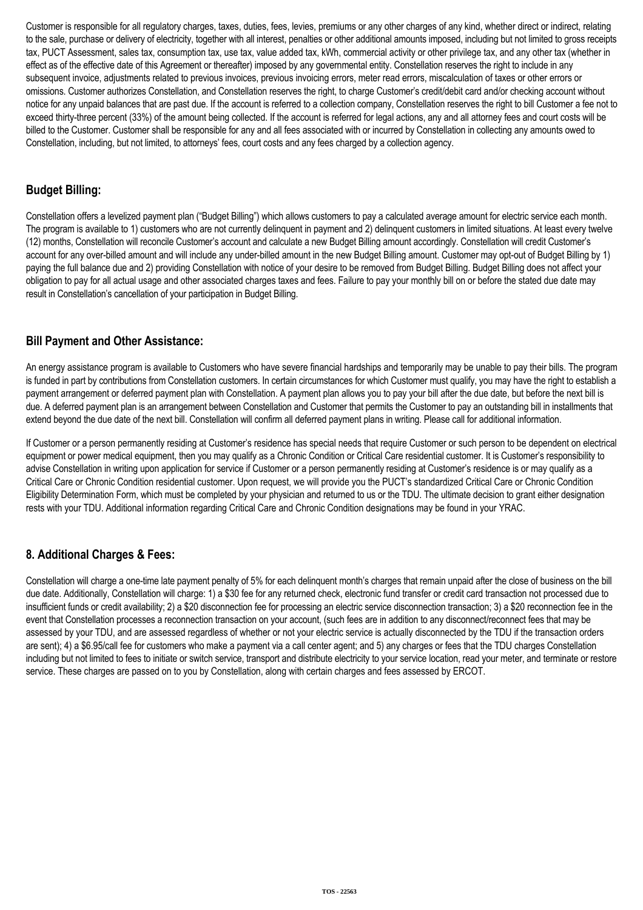Customer is responsible for all regulatory charges, taxes, duties, fees, levies, premiums or any other charges of any kind, whether direct or indirect, relating to the sale, purchase or delivery of electricity, together with all interest, penalties or other additional amounts imposed, including but not limited to gross receipts tax, PUCT Assessment, sales tax, consumption tax, use tax, value added tax, kWh, commercial activity or other privilege tax, and any other tax (whether in effect as of the effective date of this Agreement or thereafter) imposed by any governmental entity. Constellation reserves the right to include in any subsequent invoice, adjustments related to previous invoices, previous invoicing errors, meter read errors, miscalculation of taxes or other errors or omissions. Customer authorizes Constellation, and Constellation reserves the right, to charge Customer's credit/debit card and/or checking account without notice for any unpaid balances that are past due. If the account is referred to a collection company, Constellation reserves the right to bill Customer a fee not to exceed thirty-three percent (33%) of the amount being collected. If the account is referred for legal actions, any and all attorney fees and court costs will be billed to the Customer. Customer shall be responsible for any and all fees associated with or incurred by Constellation in collecting any amounts owed to Constellation, including, but not limited, to attorneys' fees, court costs and any fees charged by a collection agency.

## **Budget Billing:**

Constellation offers a levelized payment plan ("Budget Billing") which allows customers to pay a calculated average amount for electric service each month. The program is available to 1) customers who are not currently delinquent in payment and 2) delinquent customers in limited situations. At least every twelve (12) months, Constellation will reconcile Customer's account and calculate a new Budget Billing amount accordingly. Constellation will credit Customer's account for any over-billed amount and will include any under-billed amount in the new Budget Billing amount. Customer may opt-out of Budget Billing by 1) paying the full balance due and 2) providing Constellation with notice of your desire to be removed from Budget Billing. Budget Billing does not affect your obligation to pay for all actual usage and other associated charges taxes and fees. Failure to pay your monthly bill on or before the stated due date may result in Constellation's cancellation of your participation in Budget Billing.

## **Bill Payment and Other Assistance:**

An energy assistance program is available to Customers who have severe financial hardships and temporarily may be unable to pay their bills. The program is funded in part by contributions from Constellation customers. In certain circumstances for which Customer must qualify, you may have the right to establish a payment arrangement or deferred payment plan with Constellation. A payment plan allows you to pay your bill after the due date, but before the next bill is due. A deferred payment plan is an arrangement between Constellation and Customer that permits the Customer to pay an outstanding bill in installments that extend beyond the due date of the next bill. Constellation will confirm all deferred payment plans in writing. Please call for additional information.

If Customer or a person permanently residing at Customer's residence has special needs that require Customer or such person to be dependent on electrical equipment or power medical equipment, then you may qualify as a Chronic Condition or Critical Care residential customer. It is Customer's responsibility to advise Constellation in writing upon application for service if Customer or a person permanently residing at Customer's residence is or may qualify as a Critical Care or Chronic Condition residential customer. Upon request, we will provide you the PUCT's standardized Critical Care or Chronic Condition Eligibility Determination Form, which must be completed by your physician and returned to us or the TDU. The ultimate decision to grant either designation rests with your TDU. Additional information regarding Critical Care and Chronic Condition designations may be found in your YRAC.

# **8. Additional Charges & Fees:**

Constellation will charge a one-time late payment penalty of 5% for each delinquent month's charges that remain unpaid after the close of business on the bill due date. Additionally, Constellation will charge: 1) a \$30 fee for any returned check, electronic fund transfer or credit card transaction not processed due to insufficient funds or credit availability; 2) a \$20 disconnection fee for processing an electric service disconnection transaction; 3) a \$20 reconnection fee in the event that Constellation processes a reconnection transaction on your account, (such fees are in addition to any disconnect/reconnect fees that may be assessed by your TDU, and are assessed regardless of whether or not your electric service is actually disconnected by the TDU if the transaction orders are sent); 4) a \$6.95/call fee for customers who make a payment via a call center agent; and 5) any charges or fees that the TDU charges Constellation including but not limited to fees to initiate or switch service, transport and distribute electricity to your service location, read your meter, and terminate or restore service. These charges are passed on to you by Constellation, along with certain charges and fees assessed by ERCOT.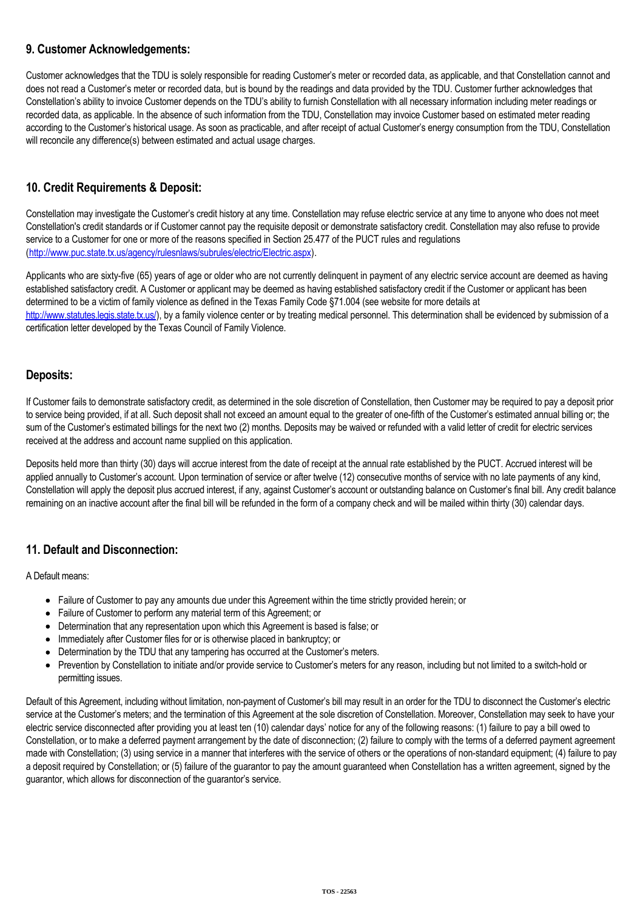## **9. Customer Acknowledgements:**

Customer acknowledges that the TDU is solely responsible for reading Customer's meter or recorded data, as applicable, and that Constellation cannot and does not read a Customer's meter or recorded data, but is bound by the readings and data provided by the TDU. Customer further acknowledges that Constellation's ability to invoice Customer depends on the TDU's ability to furnish Constellation with all necessary information including meter readings or recorded data, as applicable. In the absence of such information from the TDU, Constellation may invoice Customer based on estimated meter reading according to the Customer's historical usage. As soon as practicable, and after receipt of actual Customer's energy consumption from the TDU, Constellation will reconcile any difference(s) between estimated and actual usage charges.

# **10. Credit Requirements & Deposit:**

Constellation may investigate the Customer's credit history at any time. Constellation may refuse electric service at any time to anyone who does not meet Constellation's credit standards or if Customer cannot pay the requisite deposit or demonstrate satisfactory credit. Constellation may also refuse to provide service to a Customer for one or more of the reasons specified in Section 25.477 of the PUCT rules and regulations (<http://www.puc.state.tx.us/agency/rulesnlaws/subrules/electric/Electric.aspx>).

Applicants who are sixty-five (65) years of age or older who are not currently delinquent in payment of any electric service account are deemed as having established satisfactory credit. A Customer or applicant may be deemed as having established satisfactory credit if the Customer or applicant has been determined to be a victim of family violence as defined in the Texas Family Code §71.004 (see website for more details at [http://www.statutes.legis.state.tx.us/\)](http://www.statutes.legis.state.tx.us/), by a family violence center or by treating medical personnel. This determination shall be evidenced by submission of a certification letter developed by the Texas Council of Family Violence.

## **Deposits:**

If Customer fails to demonstrate satisfactory credit, as determined in the sole discretion of Constellation, then Customer may be required to pay a deposit prior to service being provided, if at all. Such deposit shall not exceed an amount equal to the greater of one-fifth of the Customer's estimated annual billing or; the sum of the Customer's estimated billings for the next two (2) months. Deposits may be waived or refunded with a valid letter of credit for electric services received at the address and account name supplied on this application.

Deposits held more than thirty (30) days will accrue interest from the date of receipt at the annual rate established by the PUCT. Accrued interest will be applied annually to Customer's account. Upon termination of service or after twelve (12) consecutive months of service with no late payments of any kind, Constellation will apply the deposit plus accrued interest, if any, against Customer's account or outstanding balance on Customer's final bill. Any credit balance remaining on an inactive account after the final bill will be refunded in the form of a company check and will be mailed within thirty (30) calendar days.

# **11. Default and Disconnection:**

A Default means:

- Failure of Customer to pay any amounts due under this Agreement within the time strictly provided herein; or
- Failure of Customer to perform any material term of this Agreement; or
- Determination that any representation upon which this Agreement is based is false; or
- Immediately after Customer files for or is otherwise placed in bankruptcy; or
- Determination by the TDU that any tampering has occurred at the Customer's meters.
- Prevention by Constellation to initiate and/or provide service to Customer's meters for any reason, including but not limited to a switch-hold or permitting issues.

Default of this Agreement, including without limitation, non-payment of Customer's bill may result in an order for the TDU to disconnect the Customer's electric service at the Customer's meters; and the termination of this Agreement at the sole discretion of Constellation. Moreover, Constellation may seek to have your electric service disconnected after providing you at least ten (10) calendar days' notice for any of the following reasons: (1) failure to pay a bill owed to Constellation, or to make a deferred payment arrangement by the date of disconnection; (2) failure to comply with the terms of a deferred payment agreement made with Constellation; (3) using service in a manner that interferes with the service of others or the operations of non-standard equipment; (4) failure to pay a deposit required by Constellation; or (5) failure of the guarantor to pay the amount guaranteed when Constellation has a written agreement, signed by the guarantor, which allows for disconnection of the guarantor's service.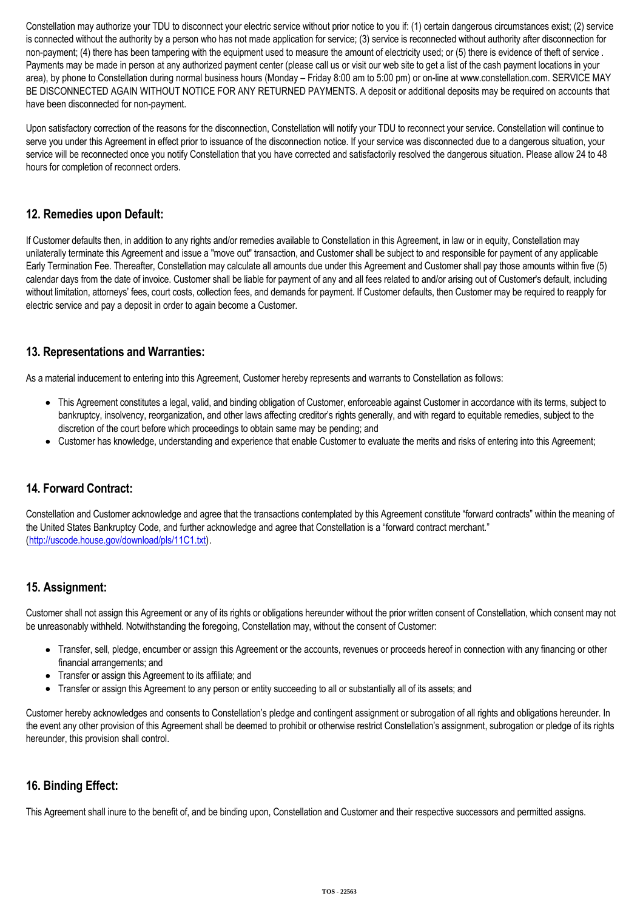Constellation may authorize your TDU to disconnect your electric service without prior notice to you if: (1) certain dangerous circumstances exist; (2) service is connected without the authority by a person who has not made application for service; (3) service is reconnected without authority after disconnection for non-payment; (4) there has been tampering with the equipment used to measure the amount of electricity used; or (5) there is evidence of theft of service. Payments may be made in person at any authorized payment center (please call us or visit our web site to get a list of the cash payment locations in your area), by phone to Constellation during normal business hours (Monday – Friday 8:00 am to 5:00 pm) or on-line at www.constellation.com. SERVICE MAY BE DISCONNECTED AGAIN WITHOUT NOTICE FOR ANY RETURNED PAYMENTS. A deposit or additional deposits may be required on accounts that have been disconnected for non-payment.

Upon satisfactory correction of the reasons for the disconnection, Constellation will notify your TDU to reconnect your service. Constellation will continue to serve you under this Agreement in effect prior to issuance of the disconnection notice. If your service was disconnected due to a dangerous situation, your service will be reconnected once you notify Constellation that you have corrected and satisfactorily resolved the dangerous situation. Please allow 24 to 48 hours for completion of reconnect orders.

## **12. Remedies upon Default:**

If Customer defaults then, in addition to any rights and/or remedies available to Constellation in this Agreement, in law or in equity, Constellation may unilaterally terminate this Agreement and issue a "move out" transaction, and Customer shall be subject to and responsible for payment of any applicable Early Termination Fee. Thereafter, Constellation may calculate all amounts due under this Agreement and Customer shall pay those amounts within five (5) calendar days from the date of invoice. Customer shall be liable for payment of any and all fees related to and/or arising out of Customer's default, including without limitation, attorneys' fees, court costs, collection fees, and demands for payment. If Customer defaults, then Customer may be required to reapply for electric service and pay a deposit in order to again become a Customer.

## **13. Representations and Warranties:**

As a material inducement to entering into this Agreement, Customer hereby represents and warrants to Constellation as follows:

- This Agreement constitutes a legal, valid, and binding obligation of Customer, enforceable against Customer in accordance with its terms, subject to bankruptcy, insolvency, reorganization, and other laws affecting creditor's rights generally, and with regard to equitable remedies, subject to the discretion of the court before which proceedings to obtain same may be pending; and
- Customer has knowledge, understanding and experience that enable Customer to evaluate the merits and risks of entering into this Agreement;

# **14. Forward Contract:**

Constellation and Customer acknowledge and agree that the transactions contemplated by this Agreement constitute "forward contracts" within the meaning of the United States Bankruptcy Code, and further acknowledge and agree that Constellation is a "forward contract merchant." (<http://uscode.house.gov/download/pls/11C1.txt>).

### **15. Assignment:**

Customer shall not assign this Agreement or any of its rights or obligations hereunder without the prior written consent of Constellation, which consent may not be unreasonably withheld. Notwithstanding the foregoing, Constellation may, without the consent of Customer:

- Transfer, sell, pledge, encumber or assign this Agreement or the accounts, revenues or proceeds hereof in connection with any financing or other financial arrangements; and
- Transfer or assign this Agreement to its affiliate; and
- Transfer or assign this Agreement to any person or entity succeeding to all or substantially all of its assets; and

Customer hereby acknowledges and consents to Constellation's pledge and contingent assignment or subrogation of all rights and obligations hereunder. In the event any other provision of this Agreement shall be deemed to prohibit or otherwise restrict Constellation's assignment, subrogation or pledge of its rights hereunder, this provision shall control.

### **16. Binding Effect:**

This Agreement shall inure to the benefit of, and be binding upon, Constellation and Customer and their respective successors and permitted assigns.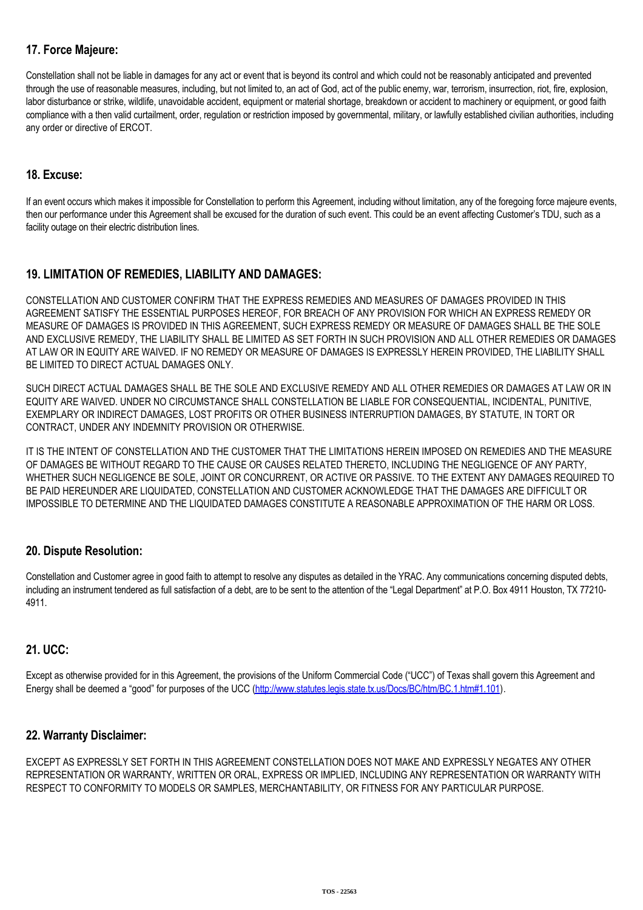# **17. Force Majeure:**

Constellation shall not be liable in damages for any act or event that is beyond its control and which could not be reasonably anticipated and prevented through the use of reasonable measures, including, but not limited to, an act of God, act of the public enemy, war, terrorism, insurrection, riot, fire, explosion, labor disturbance or strike, wildlife, unavoidable accident, equipment or material shortage, breakdown or accident to machinery or equipment, or good faith compliance with a then valid curtailment, order, regulation or restriction imposed by governmental, military, or lawfully established civilian authorities, including any order or directive of ERCOT.

## **18. Excuse:**

If an event occurs which makes it impossible for Constellation to perform this Agreement, including without limitation, any of the foregoing force majeure events, then our performance under this Agreement shall be excused for the duration of such event. This could be an event affecting Customer's TDU, such as a facility outage on their electric distribution lines.

# **19. LIMITATION OF REMEDIES, LIABILITY AND DAMAGES:**

CONSTELLATION AND CUSTOMER CONFIRM THAT THE EXPRESS REMEDIES AND MEASURES OF DAMAGES PROVIDED IN THIS AGREEMENT SATISFY THE ESSENTIAL PURPOSES HEREOF, FOR BREACH OF ANY PROVISION FOR WHICH AN EXPRESS REMEDY OR MEASURE OF DAMAGES IS PROVIDED IN THIS AGREEMENT, SUCH EXPRESS REMEDY OR MEASURE OF DAMAGES SHALL BE THE SOLE AND EXCLUSIVE REMEDY, THE LIABILITY SHALL BE LIMITED AS SET FORTH IN SUCH PROVISION AND ALL OTHER REMEDIES OR DAMAGES AT LAW OR IN EQUITY ARE WAIVED. IF NO REMEDY OR MEASURE OF DAMAGES IS EXPRESSLY HEREIN PROVIDED, THE LIABILITY SHALL BE LIMITED TO DIRECT ACTUAL DAMAGES ONLY.

SUCH DIRECT ACTUAL DAMAGES SHALL BE THE SOLE AND EXCLUSIVE REMEDY AND ALL OTHER REMEDIES OR DAMAGES AT LAW OR IN EQUITY ARE WAIVED. UNDER NO CIRCUMSTANCE SHALL CONSTELLATION BE LIABLE FOR CONSEQUENTIAL, INCIDENTAL, PUNITIVE, EXEMPLARY OR INDIRECT DAMAGES, LOST PROFITS OR OTHER BUSINESS INTERRUPTION DAMAGES, BY STATUTE, IN TORT OR CONTRACT, UNDER ANY INDEMNITY PROVISION OR OTHERWISE.

IT IS THE INTENT OF CONSTELLATION AND THE CUSTOMER THAT THE LIMITATIONS HEREIN IMPOSED ON REMEDIES AND THE MEASURE OF DAMAGES BE WITHOUT REGARD TO THE CAUSE OR CAUSES RELATED THERETO, INCLUDING THE NEGLIGENCE OF ANY PARTY, WHETHER SUCH NEGLIGENCE BE SOLE, JOINT OR CONCURRENT, OR ACTIVE OR PASSIVE. TO THE EXTENT ANY DAMAGES REQUIRED TO BE PAID HEREUNDER ARE LIQUIDATED, CONSTELLATION AND CUSTOMER ACKNOWLEDGE THAT THE DAMAGES ARE DIFFICULT OR IMPOSSIBLE TO DETERMINE AND THE LIQUIDATED DAMAGES CONSTITUTE A REASONABLE APPROXIMATION OF THE HARM OR LOSS.

### **20. Dispute Resolution:**

Constellation and Customer agree in good faith to attempt to resolve any disputes as detailed in the YRAC. Any communications concerning disputed debts, including an instrument tendered as full satisfaction of a debt, are to be sent to the attention of the "Legal Department" at P.O. Box 4911 Houston, TX 77210-4911.

### **21. UCC:**

Except as otherwise provided for in this Agreement, the provisions of the Uniform Commercial Code ("UCC") of Texas shall govern this Agreement and Energy shall be deemed a "good" for purposes of the UCC [\(http://www.statutes.legis.state.tx.us/Docs/BC/htm/BC.1.htm#1.101\)](http://www.statutes.legis.state.tx.us/Docs/BC/htm/BC.1.htm#1.101).

### **22. Warranty Disclaimer:**

EXCEPT AS EXPRESSLY SET FORTH IN THIS AGREEMENT CONSTELLATION DOES NOT MAKE AND EXPRESSLY NEGATES ANY OTHER REPRESENTATION OR WARRANTY, WRITTEN OR ORAL, EXPRESS OR IMPLIED, INCLUDING ANY REPRESENTATION OR WARRANTY WITH RESPECT TO CONFORMITY TO MODELS OR SAMPLES, MERCHANTABILITY, OR FITNESS FOR ANY PARTICULAR PURPOSE.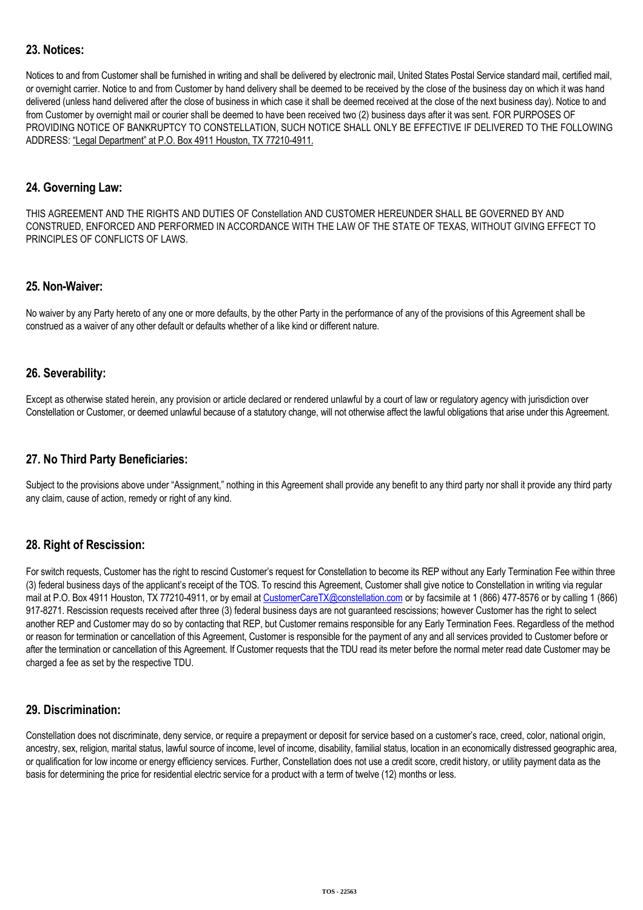## **23. Notices:**

Notices to and from Customer shall be furnished in writing and shall be delivered by electronic mail, United States Postal Service standard mail, certified mail, or overnight carrier. Notice to and from Customer by hand delivery shall be deemed to be received by the close of the business day on which it was hand delivered (unless hand delivered after the close of business in which case it shall be deemed received at the close of the next business day). Notice to and from Customer by overnight mail or courier shall be deemed to have been received two (2) business days after it was sent. FOR PURPOSES OF PROVIDING NOTICE OF BANKRUPTCY TO CONSTELLATION, SUCH NOTICE SHALL ONLY BE EFFECTIVE IF DELIVERED TO THE FOLLOWING ADDRESS: "Legal Department" at P.O. Box 4911 Houston, TX 77210-4911.

#### **24. Governing Law:**

THIS AGREEMENT AND THE RIGHTS AND DUTIES OF Constellation AND CUSTOMER HEREUNDER SHALL BE GOVERNED BY AND CONSTRUED, ENFORCED AND PERFORMED IN ACCORDANCE WITH THE LAW OF THE STATE OF TEXAS, WITHOUT GIVING EFFECT TO PRINCIPLES OF CONFLICTS OF LAWS.

#### **25. Non-Waiver:**

No waiver by any Party hereto of any one or more defaults, by the other Party in the performance of any of the provisions of this Agreement shall be construed as a waiver of any other default or defaults whether of a like kind or different nature.

### **26. Severability:**

Except as otherwise stated herein, any provision or article declared or rendered unlawful by a court of law or regulatory agency with jurisdiction over Constellation or Customer, or deemed unlawful because of a statutory change, will not otherwise affect the lawful obligations that arise under this Agreement.

### **27. No Third Party Beneficiaries:**

Subject to the provisions above under "Assignment," nothing in this Agreement shall provide any benefit to any third party nor shall it provide any third party any claim, cause of action, remedy or right of any kind.

### **28. Right of Rescission:**

For switch requests, Customer has the right to rescind Customer's request for Constellation to become its REP without any Early Termination Fee within three (3) federal business days of the applicant's receipt of the TOS. To rescind this Agreement, Customer shall give notice to Constellation in writing via regular mail at P.O. Box 4911 Houston, TX 77210-4911, or by email at [CustomerCareTX@constellation.com](mailto:CustomerCareTX@constellation.com) or by facsimile at 1 (866) 477-8576 or by calling 1 (866) 917-8271. Rescission requests received after three (3) federal business days are not guaranteed rescissions; however Customer has the right to select another REP and Customer may do so by contacting that REP, but Customer remains responsible for any Early Termination Fees. Regardless of the method or reason for termination or cancellation of this Agreement, Customer is responsible for the payment of any and all services provided to Customer before or after the termination or cancellation of this Agreement. If Customer requests that the TDU read its meter before the normal meter read date Customer may be charged a fee as set by the respective TDU.

### **29. Discrimination:**

Constellation does not discriminate, deny service, or require a prepayment or deposit for service based on a customer's race, creed, color, national origin, ancestry, sex, religion, marital status, lawful source of income, level of income, disability, familial status, location in an economically distressed geographic area, or qualification for low income or energy efficiency services. Further, Constellation does not use a credit score, credit history, or utility payment data as the basis for determining the price for residential electric service for a product with a term of twelve (12) months or less.